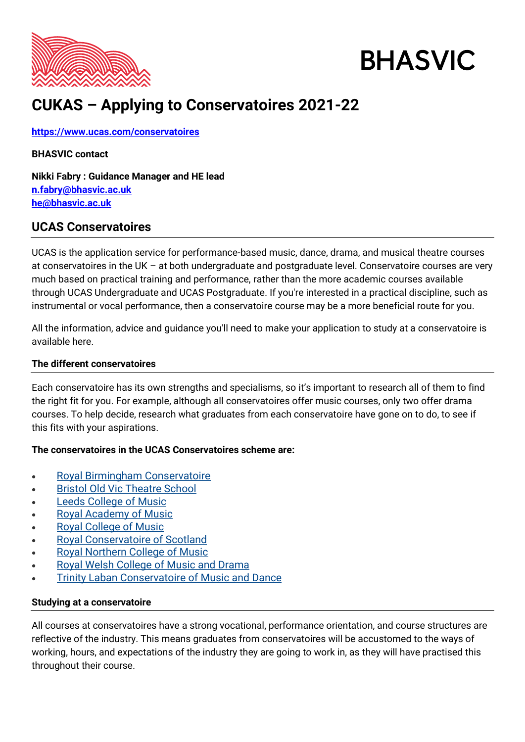

# **BHASVIC**

## **CUKAS – Applying to Conservatoires 2021-22**

**<https://www.ucas.com/conservatoires>**

## **BHASVIC contact**

**Nikki Fabry : Guidance Manager and HE lead [n.fabry@bhasvic.ac.uk](mailto:n.fabry@bhasvic.ac.uk) [he@bhasvic.ac.uk](mailto:he@bhasvic.ac.uk)**

## **UCAS Conservatoires**

UCAS is the application service for performance-based music, dance, drama, and musical theatre courses at conservatoires in the UK – at both undergraduate and postgraduate level. Conservatoire courses are very much based on practical training and performance, rather than the more academic courses available through UCAS Undergraduate and UCAS Postgraduate. If you're interested in a practical discipline, such as instrumental or vocal performance, then a conservatoire course may be a more beneficial route for you.

All the information, advice and guidance you'll need to make your application to study at a conservatoire is available here.

## **The different conservatoires**

Each conservatoire has its own strengths and specialisms, so it's important to research all of them to find the right fit for you. For example, although all conservatoires offer music courses, only two offer drama courses. To help decide, research what graduates from each conservatoire have gone on to do, to see if this fits with your aspirations.

## **The conservatoires in the UCAS Conservatoires scheme are:**

- [Royal Birmingham Conservatoire](http://www.bcu.ac.uk/conservatoire)
- **[Bristol Old Vic Theatre School](http://www.oldvic.ac.uk/)**
- **[Leeds College of Music](http://www.lcm.ac.uk/)**
- [Royal Academy of Music](http://www.ram.ac.uk/)
- [Royal College of Music](http://www.rcm.ac.uk/)
- [Royal Conservatoire of Scotland](https://www.rcs.ac.uk/)
- [Royal Northern College of Music](http://www.rncm.ac.uk/)
- [Royal Welsh College of Music and Drama](http://www.rwcmd.ac.uk/)
- **[Trinity Laban Conservatoire of Music and Dance](http://www.trinitylaban.ac.uk/)**

## **Studying at a conservatoire**

All courses at conservatoires have a strong vocational, performance orientation, and course structures are reflective of the industry. This means graduates from conservatoires will be accustomed to the ways of working, hours, and expectations of the industry they are going to work in, as they will have practised this throughout their course.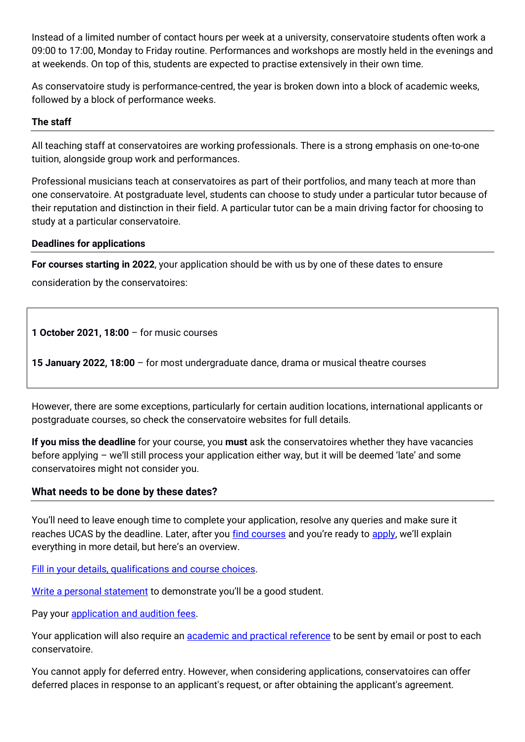Instead of a limited number of contact hours per week at a university, conservatoire students often work a 09:00 to 17:00, Monday to Friday routine. Performances and workshops are mostly held in the evenings and at weekends. On top of this, students are expected to practise extensively in their own time.

As conservatoire study is performance-centred, the year is broken down into a block of academic weeks, followed by a block of performance weeks.

## **The staff**

All teaching staff at conservatoires are working professionals. There is a strong emphasis on one-to-one tuition, alongside group work and performances.

Professional musicians teach at conservatoires as part of their portfolios, and many teach at more than one conservatoire. At postgraduate level, students can choose to study under a particular tutor because of their reputation and distinction in their field. A particular tutor can be a main driving factor for choosing to study at a particular conservatoire.

## **Deadlines for applications**

**For courses starting in 2022**, your application should be with us by one of these dates to ensure consideration by the conservatoires:

**1 October 2021, 18:00** – for music courses

**15 January 2022, 18:00** – for most undergraduate dance, drama or musical theatre courses

However, there are some exceptions, particularly for certain audition locations, international applicants or postgraduate courses, so check the conservatoire websites for full details.

**If you miss the deadline** for your course, you **must** ask the conservatoires whether they have vacancies before applying – we'll still process your application either way, but it will be deemed 'late' and some conservatoires might not consider you.

## **What needs to be done by these dates?**

You'll need to leave enough time to complete your application, resolve any queries and make sure it reaches UCAS by the deadline. Later, after you [find courses](https://www.ucas.com/conservatoires/studying-conservatoire/choosing-conservatoire-course) and you're ready to [apply](https://www.ucas.com/ucas-conservatoires-apply-and-track), we'll explain everything in more detail, but here's an overview.

[Fill in your details, qualifications and course choices.](https://www.ucas.com/conservatoires/filling-your-ucas-conservatoires-application)

[Write a personal statement](https://www.ucas.com/conservatoires/filling-your-conservatoires-application/how-write-ucas-conservatoires-personal-statement) to demonstrate you'll be a good student.

Pay your [application and audition fees.](https://www.ucas.com/conservatoire-audition-and-application-fees)

Your application will also require an **academic and practical reference** to be sent by email or post to each conservatoire.

You cannot apply for deferred entry. However, when considering applications, conservatoires can offer deferred places in response to an applicant's request, or after obtaining the applicant's agreement.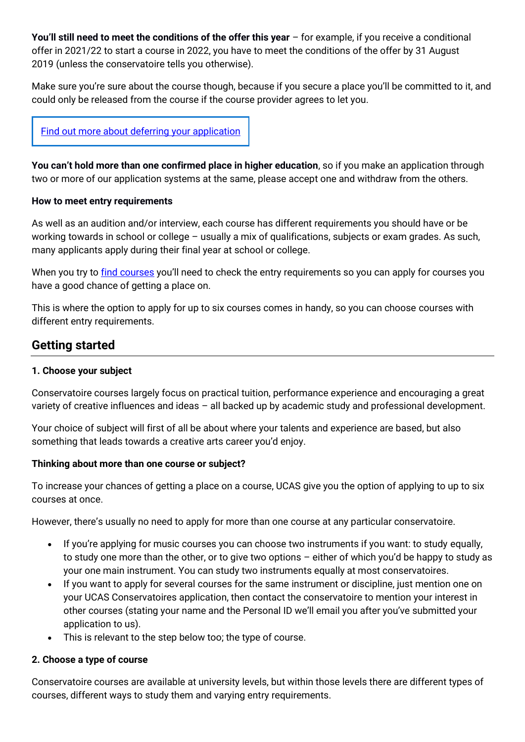**You'll still need to meet the conditions of the offer this year** – for example, if you receive a conditional offer in 2021/22 to start a course in 2022, you have to meet the conditions of the offer by 31 August 2019 (unless the conservatoire tells you otherwise).

Make sure you're sure about the course though, because if you secure a place you'll be committed to it, and could only be released from the course if the course provider agrees to let you.

## Find out more about deferring your [application](https://www.ucas.com/undergraduate/applying-university/when-apply/deferred-entry)

**You can't hold more than one confirmed place in higher education**, so if you make an application through two or more of our application systems at the same, please accept one and withdraw from the others.

#### **How to meet entry requirements**

As well as an audition and/or interview, each course has different requirements you should have or be working towards in school or college – usually a mix of qualifications, subjects or exam grades. As such, many applicants apply during their final year at school or college.

When you try to [find courses](https://www.ucas.com/conservatoires/studying-conservatoire/choosing-conservatoire-course) you'll need to check the entry requirements so you can apply for courses you have a good chance of getting a place on.

This is where the option to apply for up to six courses comes in handy, so you can choose courses with different entry requirements.

## **Getting started**

#### **1. Choose your subject**

Conservatoire courses largely focus on practical tuition, performance experience and encouraging a great variety of creative influences and ideas – all backed up by academic study and professional development.

Your choice of subject will first of all be about where your talents and experience are based, but also something that leads towards a creative arts career you'd enjoy.

## **Thinking about more than one course or subject?**

To increase your chances of getting a place on a course, UCAS give you the option of applying to up to six courses at once.

However, there's usually no need to apply for more than one course at any particular conservatoire.

- If you're applying for music courses you can choose two instruments if you want: to study equally, to study one more than the other, or to give two options – either of which you'd be happy to study as your one main instrument. You can study two instruments equally at most conservatoires.
- If you want to apply for several courses for the same instrument or discipline, just mention one on your UCAS Conservatoires application, then contact the conservatoire to mention your interest in other courses (stating your name and the Personal ID we'll email you after you've submitted your application to us).
- This is relevant to the step below too; the type of course.

## **2. Choose a type of course**

Conservatoire courses are available at university levels, but within those levels there are different types of courses, different ways to study them and varying entry requirements.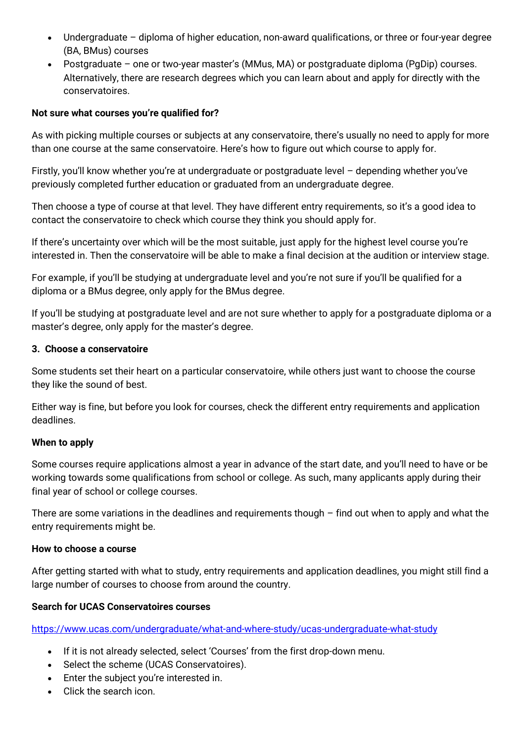- Undergraduate diploma of higher education, non-award qualifications, or three or four-year degree (BA, BMus) courses
- Postgraduate one or two-year master's (MMus, MA) or postgraduate diploma (PgDip) courses. Alternatively, there are research degrees which you can learn about and apply for directly with the conservatoires.

#### **Not sure what courses you're qualified for?**

As with picking multiple courses or subjects at any conservatoire, there's usually no need to apply for more than one course at the same conservatoire. Here's how to figure out which course to apply for.

Firstly, you'll know whether you're at undergraduate or postgraduate level - depending whether you've previously completed further education or graduated from an undergraduate degree.

Then choose a type of course at that level. They have different entry requirements, so it's a good idea to contact the conservatoire to check which course they think you should apply for.

If there's uncertainty over which will be the most suitable, just apply for the highest level course you're interested in. Then the conservatoire will be able to make a final decision at the audition or interview stage.

For example, if you'll be studying at undergraduate level and you're not sure if you'll be qualified for a diploma or a BMus degree, only apply for the BMus degree.

If you'll be studying at postgraduate level and are not sure whether to apply for a postgraduate diploma or a master's degree, only apply for the master's degree.

#### **3. Choose a conservatoire**

Some students set their heart on a particular conservatoire, while others just want to choose the course they like the sound of best.

Either way is fine, but before you look for courses, check the different entry requirements and application deadlines.

#### **When to apply**

Some courses require applications almost a year in advance of the start date, and you'll need to have or be working towards some qualifications from school or college. As such, many applicants apply during their final year of school or college courses.

There are some variations in the deadlines and requirements though  $-$  find out when to apply and what the entry requirements might be.

#### **How to choose a course**

After getting started with what to study, entry requirements and application deadlines, you might still find a large number of courses to choose from around the country.

#### **Search for UCAS Conservatoires courses**

<https://www.ucas.com/undergraduate/what-and-where-study/ucas-undergraduate-what-study>

- If it is not already selected, select 'Courses' from the first drop-down menu.
- Select the scheme (UCAS Conservatoires).
- Enter the subject you're interested in.
- Click the search icon.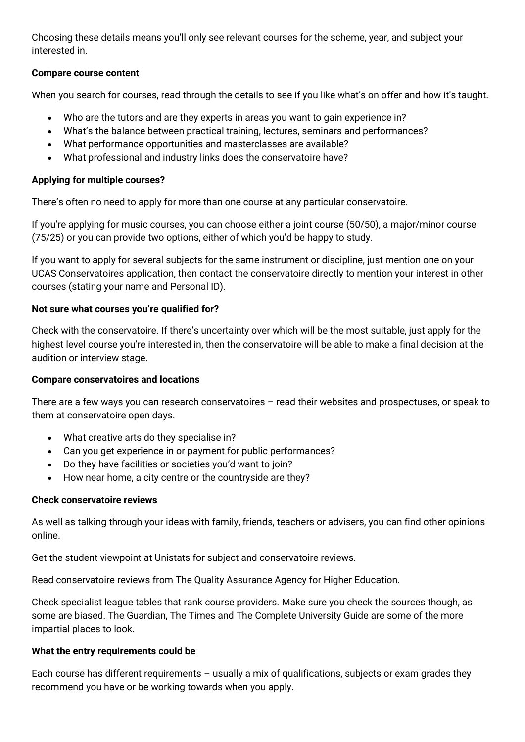Choosing these details means you'll only see relevant courses for the scheme, year, and subject your interested in.

## **Compare course content**

When you search for courses, read through the details to see if you like what's on offer and how it's taught.

- Who are the tutors and are they experts in areas you want to gain experience in?
- What's the balance between practical training, lectures, seminars and performances?
- What performance opportunities and masterclasses are available?
- What professional and industry links does the conservatoire have?

## **Applying for multiple courses?**

There's often no need to apply for more than one course at any particular conservatoire.

If you're applying for music courses, you can choose either a joint course (50/50), a major/minor course (75/25) or you can provide two options, either of which you'd be happy to study.

If you want to apply for several subjects for the same instrument or discipline, just mention one on your UCAS Conservatoires application, then contact the conservatoire directly to mention your interest in other courses (stating your name and Personal ID).

## **Not sure what courses you're qualified for?**

Check with the conservatoire. If there's uncertainty over which will be the most suitable, just apply for the highest level course you're interested in, then the conservatoire will be able to make a final decision at the audition or interview stage.

## **Compare conservatoires and locations**

There are a few ways you can research conservatoires – read their websites and prospectuses, or speak to them at conservatoire open days.

- What creative arts do they specialise in?
- Can you get experience in or payment for public performances?
- Do they have facilities or societies you'd want to join?
- How near home, a city centre or the countryside are they?

## **Check conservatoire reviews**

As well as talking through your ideas with family, friends, teachers or advisers, you can find other opinions online.

Get the student viewpoint at Unistats for subject and conservatoire reviews.

Read conservatoire reviews from The Quality Assurance Agency for Higher Education.

Check specialist league tables that rank course providers. Make sure you check the sources though, as some are biased. The Guardian, The Times and The Complete University Guide are some of the more impartial places to look.

## **What the entry requirements could be**

Each course has different requirements – usually a mix of qualifications, subjects or exam grades they recommend you have or be working towards when you apply.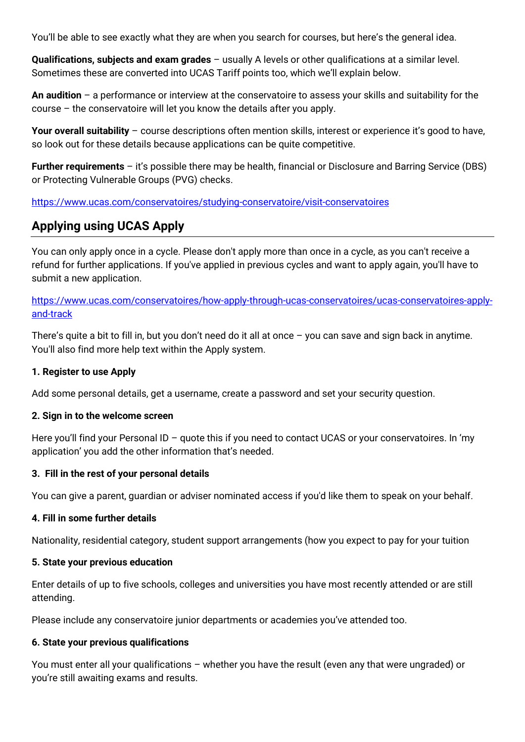You'll be able to see exactly what they are when you search for courses, but here's the general idea.

**Qualifications, subjects and exam grades** – usually A levels or other qualifications at a similar level. Sometimes these are converted into UCAS Tariff points too, which we'll explain below.

**An audition** – a performance or interview at the conservatoire to assess your skills and suitability for the course – the conservatoire will let you know the details after you apply.

**Your overall suitability** – course descriptions often mention skills, interest or experience it's good to have, so look out for these details because applications can be quite competitive.

**Further requirements** – it's possible there may be health, financial or Disclosure and Barring Service (DBS) or Protecting Vulnerable Groups (PVG) checks.

<https://www.ucas.com/conservatoires/studying-conservatoire/visit-conservatoires>

## **Applying using UCAS Apply**

You can only apply once in a cycle. Please don't apply more than once in a cycle, as you can't receive a refund for further applications. If you've applied in previous cycles and want to apply again, you'll have to submit a new application.

[https://www.ucas.com/conservatoires/how-apply-through-ucas-conservatoires/ucas-conservatoires-apply](https://www.ucas.com/conservatoires/how-apply-through-ucas-conservatoires/ucas-conservatoires-apply-and-track)[and-track](https://www.ucas.com/conservatoires/how-apply-through-ucas-conservatoires/ucas-conservatoires-apply-and-track)

There's quite a bit to fill in, but you don't need do it all at once – you can save and sign back in anytime. You'll also find more help text within the Apply system.

## **1. Register to use Apply**

Add some personal details, get a username, create a password and set your security question.

#### **2. Sign in to the welcome screen**

Here you'll find your Personal ID - quote this if you need to contact UCAS or your conservatoires. In 'my application' you add the other information that's needed.

## **3. Fill in the rest of your personal details**

You can give a parent, guardian or adviser nominated access if you'd like them to speak on your behalf.

## **4. Fill in some further details**

Nationality, residential category, student support arrangements (how you expect to pay for your tuition

#### **5. State your previous education**

Enter details of up to five schools, colleges and universities you have most recently attended or are still attending.

Please include any conservatoire junior departments or academies you've attended too.

## **6. State your previous qualifications**

You must enter all your qualifications – whether you have the result (even any that were ungraded) or you're still awaiting exams and results.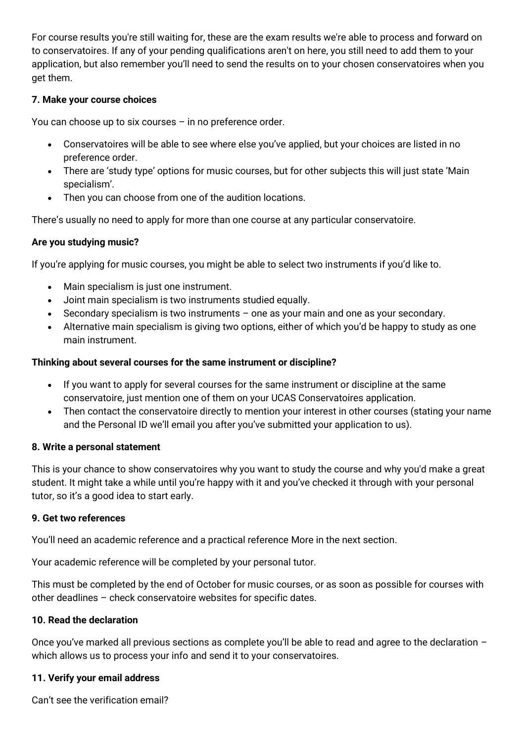For course results you're still waiting for, these are the exam results we're able to process and forward on to conservatoires. If any of your pending qualifications aren't on here, you still need to add them to your application, but also remember you'll need to send the results on to your chosen conservatoires when you get them.

## **7. Make your course choices**

You can choose up to six courses – in no preference order.

- Conservatoires will be able to see where else you've applied, but your choices are listed in no preference order.
- There are 'study type' options for music courses, but for other subjects this will just state 'Main specialism'.
- Then you can choose from one of the audition locations.

There's usually no need to apply for more than one course at any particular conservatoire.

## **Are you studying music?**

If you're applying for music courses, you might be able to select two instruments if you'd like to.

- Main specialism is just one instrument.
- Joint main specialism is two instruments studied equally.
- Secondary specialism is two instruments one as your main and one as your secondary.
- Alternative main specialism is giving two options, either of which you'd be happy to study as one main instrument.

## **Thinking about several courses for the same instrument or discipline?**

- If you want to apply for several courses for the same instrument or discipline at the same conservatoire, just mention one of them on your UCAS Conservatoires application.
- Then contact the conservatoire directly to mention your interest in other courses (stating your name and the Personal ID we'll email you after you've submitted your application to us).

## **8. Write a personal statement**

This is your chance to show conservatoires why you want to study the course and why you'd make a great student. It might take a while until you're happy with it and you've checked it through with your personal tutor, so it's a good idea to start early.

## **9. Get two references**

You'll need an academic reference and a practical reference More in the next section.

Your academic reference will be completed by your personal tutor.

This must be completed by the end of October for music courses, or as soon as possible for courses with other deadlines – check conservatoire websites for specific dates.

## **10. Read the declaration**

Once you've marked all previous sections as complete you'll be able to read and agree to the declaration – which allows us to process your info and send it to your conservatoires.

## **11. Verify your email address**

Can't see the verification email?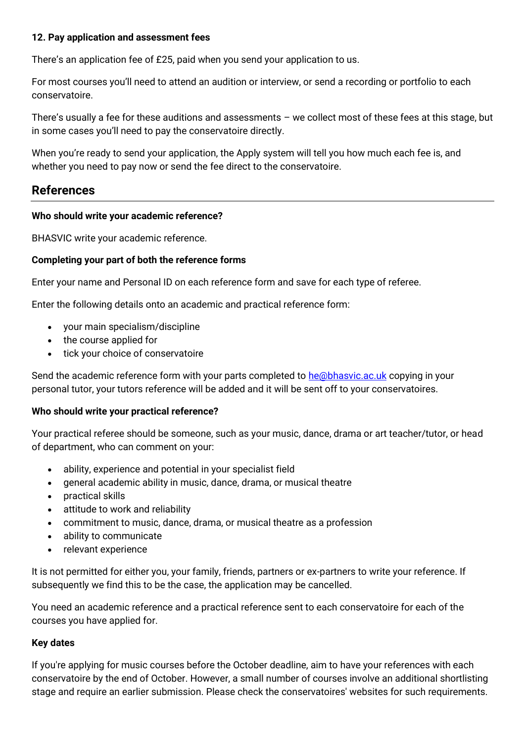#### **12. Pay application and assessment fees**

There's an application fee of £25, paid when you send your application to us.

For most courses you'll need to attend an audition or interview, or send a recording or portfolio to each conservatoire.

There's usually a fee for these auditions and assessments – we collect most of these fees at this stage, but in some cases you'll need to pay the conservatoire directly.

When you're ready to send your application, the Apply system will tell you how much each fee is, and whether you need to pay now or send the fee direct to the conservatoire.

## **References**

#### **Who should write your academic reference?**

BHASVIC write your academic reference.

## **Completing your part of both the reference forms**

Enter your name and Personal ID on each reference form and save for each type of referee.

Enter the following details onto an academic and practical reference form:

- your main specialism/discipline
- the course applied for
- tick your choice of conservatoire

Send the academic reference form with your parts completed to [he@bhasvic.ac.uk](mailto:he@bhasvic.ac.uk) copying in your personal tutor, your tutors reference will be added and it will be sent off to your conservatoires.

## **Who should write your practical reference?**

Your practical referee should be someone, such as your music, dance, drama or art teacher/tutor, or head of department, who can comment on your:

- ability, experience and potential in your specialist field
- general academic ability in music, dance, drama, or musical theatre
- practical skills
- attitude to work and reliability
- commitment to music, dance, drama, or musical theatre as a profession
- ability to communicate
- relevant experience

It is not permitted for either you, your family, friends, partners or ex-partners to write your reference. If subsequently we find this to be the case, the application may be cancelled.

You need an academic reference and a practical reference sent to each conservatoire for each of the courses you have applied for.

## **Key dates**

If you're applying for music courses before the October deadline, aim to have your references with each conservatoire by the end of October. However, a small number of courses involve an additional shortlisting stage and require an earlier submission. Please check the conservatoires' websites for such requirements.